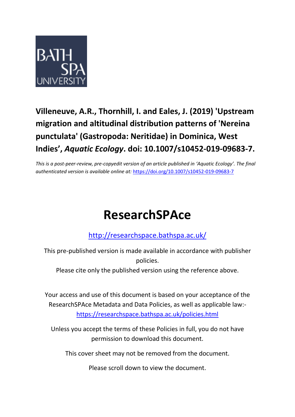

## **Villeneuve, A.R., Thornhill, I. and Eales, J. (2019) 'Upstream migration and altitudinal distribution patterns of 'Nereina punctulata' (Gastropoda: Neritidae) in Dominica, West Indies' ,** *Aquatic Ecology***. doi: 10.1007/s10452-019-09683-7.**

*This is a post-peer-review, pre-copyedit version of an article published in 'Aquatic Ecology'. The final authenticated version is available online at:* <https://doi.org/10.1007/s10452-019-09683-7>

# **ResearchSPAce**

### <http://researchspace.bathspa.ac.uk/>

This pre-published version is made available in accordance with publisher policies.

Please cite only the published version using the reference above.

Your access and use of this document is based on your acceptance of the ResearchSPAce Metadata and Data Policies, as well as applicable law: https://researchspace.bathspa.ac.uk/policies.html

Unless you accept the terms of these Policies in full, you do not have permission to download this document.

This cover sheet may not be removed from the document.

Please scroll down to view the document.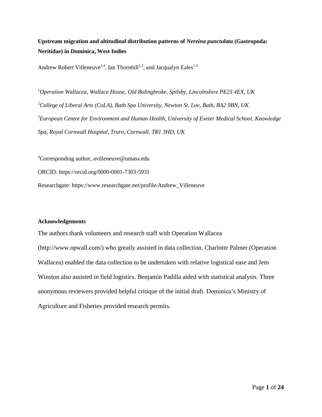**Upstream migration and altitudinal distribution patterns of** *Nereina punctulata* **(Gastropoda: Neritidae) in Dominica, West Indies**

Andrew Robert Villeneuve<sup>1,4</sup>, Ian Thornhill<sup>1,2</sup>, and Jacqualyn Eales<sup>1,3</sup>

*Operation Wallacea, Wallace House, Old Bolingbroke, Spilsby, Lincolnshire PE23 4EX, UK College of Liberal Arts (CoLA), Bath Spa University, Newton St. Loe, Bath, BA2 9BN, UK European Centre for Environment and Human Health, University of Exeter Medical School, Knowledge Spa, Royal Cornwall Hospital, Truro, Cornwall, TR1 3HD, UK*

<sup>4</sup>Corresponding author, [avilleneuve@umass.edu](mailto:avilleneuve@umass.edu) ORCID: https://orcid.org/0000-0001-7303-5931 Researchgate: https://www.researchgate.net/profile/Andrew\_Villeneuve

#### **Acknowledgements**

The authors thank volunteers and research staff with Operation Wallacea (http://www.opwall.com/) who greatly assisted in data collection. Charlotte Palmer (Operation Wallacea) enabled the data collection to be undertaken with relative logistical ease and Jem Winston also assisted in field logistics. Benjamin Padilla aided with statistical analysis. Three anonymous reviewers provided helpful critique of the initial draft. Dominica's Ministry of Agriculture and Fisheries provided research permits.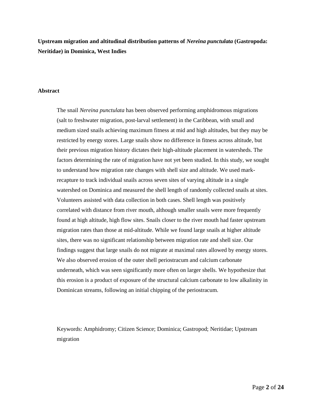**Upstream migration and altitudinal distribution patterns of** *Nereina punctulata* **(Gastropoda: Neritidae) in Dominica, West Indies**

#### **Abstract**

The snail *Nereina punctulata* has been observed performing amphidromous migrations (salt to freshwater migration, post-larval settlement) in the Caribbean, with small and medium sized snails achieving maximum fitness at mid and high altitudes, but they may be restricted by energy stores. Large snails show no difference in fitness across altitude, but their previous migration history dictates their high-altitude placement in watersheds. The factors determining the rate of migration have not yet been studied. In this study, we sought to understand how migration rate changes with shell size and altitude. We used markrecapture to track individual snails across seven sites of varying altitude in a single watershed on Dominica and measured the shell length of randomly collected snails at sites. Volunteers assisted with data collection in both cases. Shell length was positively correlated with distance from river mouth, although smaller snails were more frequently found at high altitude, high flow sites. Snails closer to the river mouth had faster upstream migration rates than those at mid-altitude. While we found large snails at higher altitude sites, there was no significant relationship between migration rate and shell size. Our findings suggest that large snails do not migrate at maximal rates allowed by energy stores. We also observed erosion of the outer shell periostracum and calcium carbonate underneath, which was seen significantly more often on larger shells. We hypothesize that this erosion is a product of exposure of the structural calcium carbonate to low alkalinity in Dominican streams, following an initial chipping of the periostracum.

Keywords: Amphidromy; Citizen Science; Dominica; Gastropod; Neritidae; Upstream migration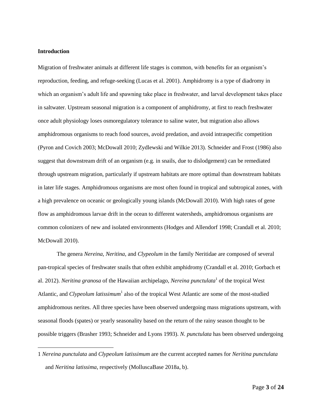#### **Introduction**

 $\overline{a}$ 

Migration of freshwater animals at different life stages is common, with benefits for an organism's reproduction, feeding, and refuge-seeking (Lucas et al. 2001). Amphidromy is a type of diadromy in which an organism's adult life and spawning take place in freshwater, and larval development takes place in saltwater. Upstream seasonal migration is a component of amphidromy, at first to reach freshwater once adult physiology loses osmoregulatory tolerance to saline water, but migration also allows amphidromous organisms to reach food sources, avoid predation, and avoid intraspecific competition (Pyron and Covich 2003; McDowall 2010; Zydlewski and Wilkie 2013). Schneider and Frost (1986) also suggest that downstream drift of an organism (e.g. in snails, due to dislodgement) can be remediated through upstream migration, particularly if upstream habitats are more optimal than downstream habitats in later life stages. Amphidromous organisms are most often found in tropical and subtropical zones, with a high prevalence on oceanic or geologically young islands (McDowall 2010). With high rates of gene flow as amphidromous larvae drift in the ocean to different watersheds, amphidromous organisms are common colonizers of new and isolated environments (Hodges and Allendorf 1998; Crandall et al. 2010; McDowall 2010).

The genera *Nereina, Neritina,* and *Clypeolum* in the family Neritidae are composed of several pan-tropical species of freshwater snails that often exhibit amphidromy (Crandall et al. 2010; Gorbach et al. 2012). *Neritina granosa* of the Hawaiian archipelago, *Nereina punctulata*<sup>1</sup> of the tropical West Atlantic, and *Clypeolum latissimum*<sup>1</sup> also of the tropical West Atlantic are some of the most-studied amphidromous nerites. All three species have been observed undergoing mass migrations upstream, with seasonal floods (spates) or yearly seasonality based on the return of the rainy season thought to be possible triggers (Brasher 1993; Schneider and Lyons 1993). *N. punctulata* has been observed undergoing

<sup>1</sup> *Nereina punctulata* and *Clypeolum latissimum* are the current accepted names for *Neritina punctulata* and *Neritina latissima*, respectively (MolluscaBase 2018a, b).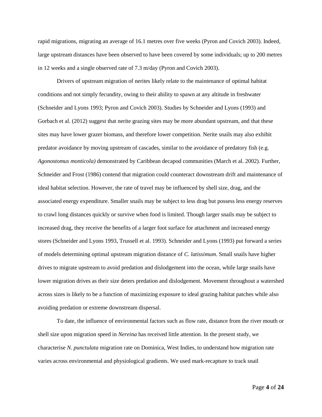rapid migrations, migrating an average of 16.1 metres over five weeks (Pyron and Covich 2003). Indeed, large upstream distances have been observed to have been covered by some individuals; up to 200 metres in 12 weeks and a single observed rate of 7.3 m/day (Pyron and Covich 2003).

Drivers of upstream migration of nerites likely relate to the maintenance of optimal habitat conditions and not simply fecundity, owing to their ability to spawn at any altitude in freshwater (Schneider and Lyons 1993; Pyron and Covich 2003). Studies by Schneider and Lyons (1993) and Gorbach et al. (2012) suggest that nerite grazing sites may be more abundant upstream, and that these sites may have lower grazer biomass, and therefore lower competition. Nerite snails may also exhibit predator avoidance by moving upstream of cascades, similar to the avoidance of predatory fish (e.g. *Agonostomus monticola)* demonstrated by Caribbean decapod communities (March et al. 2002). Further, Schneider and Frost (1986) contend that migration could counteract downstream drift and maintenance of ideal habitat selection. However, the rate of travel may be influenced by shell size, drag, and the associated energy expenditure. Smaller snails may be subject to less drag but possess less energy reserves to crawl long distances quickly or survive when food is limited. Though larger snails may be subject to increased drag, they receive the benefits of a larger foot surface for attachment and increased energy stores (Schneider and Lyons 1993, Trussell et al. 1993). Schneider and Lyons (1993) put forward a series of models determining optimal upstream migration distance of *C. latissimum*. Small snails have higher drives to migrate upstream to avoid predation and dislodgement into the ocean, while large snails have lower migration drives as their size deters predation and dislodgement. Movement throughout a watershed across sizes is likely to be a function of maximizing exposure to ideal grazing habitat patches while also avoiding predation or extreme downstream dispersal.

To date, the influence of environmental factors such as flow rate, distance from the river mouth or shell size upon migration speed in *Nereina* has received little attention. In the present study, we characterise *N. punctulata* migration rate on Dominica, West Indies, to understand how migration rate varies across environmental and physiological gradients. We used mark-recapture to track snail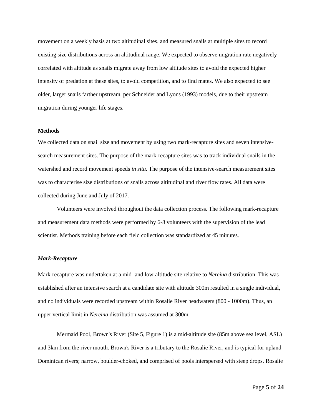movement on a weekly basis at two altitudinal sites, and measured snails at multiple sites to record existing size distributions across an altitudinal range. We expected to observe migration rate negatively correlated with altitude as snails migrate away from low altitude sites to avoid the expected higher intensity of predation at these sites, to avoid competition, and to find mates. We also expected to see older, larger snails farther upstream, per Schneider and Lyons (1993) models, due to their upstream migration during younger life stages.

#### **Methods**

We collected data on snail size and movement by using two mark-recapture sites and seven intensivesearch measurement sites. The purpose of the mark-recapture sites was to track individual snails in the watershed and record movement speeds *in situ*. The purpose of the intensive-search measurement sites was to characterise size distributions of snails across altitudinal and river flow rates. All data were collected during June and July of 2017.

Volunteers were involved throughout the data collection process. The following mark-recapture and measurement data methods were performed by 6-8 volunteers with the supervision of the lead scientist. Methods training before each field collection was standardized at 45 minutes.

#### *Mark-Recapture*

Mark-recapture was undertaken at a mid- and low-altitude site relative to *Nereina* distribution. This was established after an intensive search at a candidate site with altitude 300m resulted in a single individual, and no individuals were recorded upstream within Rosalie River headwaters (800 - 1000m). Thus, an upper vertical limit in *Nereina* distribution was assumed at 300m.

Mermaid Pool, Brown's River (Site 5, Figure 1) is a mid-altitude site (85m above sea level, ASL) and 3km from the river mouth. Brown's River is a tributary to the Rosalie River, and is typical for upland Dominican rivers; narrow, boulder-choked, and comprised of pools interspersed with steep drops. Rosalie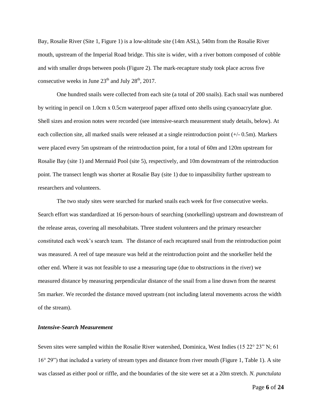Bay, Rosalie River (Site 1, Figure 1) is a low-altitude site (14m ASL), 540m from the Rosalie River mouth, upstream of the Imperial Road bridge. This site is wider, with a river bottom composed of cobble and with smaller drops between pools (Figure 2). The mark-recapture study took place across five consecutive weeks in June  $23<sup>th</sup>$  and July  $28<sup>th</sup>$ , 2017.

One hundred snails were collected from each site (a total of 200 snails). Each snail was numbered by writing in pencil on 1.0cm x 0.5cm waterproof paper affixed onto shells using cyanoacrylate glue. Shell sizes and erosion notes were recorded (see intensive-search measurement study details, below). At each collection site, all marked snails were released at a single reintroduction point (+/- 0.5m). Markers were placed every 5m upstream of the reintroduction point, for a total of 60m and 120m upstream for Rosalie Bay (site 1) and Mermaid Pool (site 5), respectively, and 10m downstream of the reintroduction point. The transect length was shorter at Rosalie Bay (site 1) due to impassibility further upstream to researchers and volunteers.

The two study sites were searched for marked snails each week for five consecutive weeks. Search effort was standardized at 16 person-hours of searching (snorkelling) upstream and downstream of the release areas, covering all mesohabitats. Three student volunteers and the primary researcher constituted each week's search team. The distance of each recaptured snail from the reintroduction point was measured. A reel of tape measure was held at the reintroduction point and the snorkeller held the other end. Where it was not feasible to use a measuring tape (due to obstructions in the river) we measured distance by measuring perpendicular distance of the snail from a line drawn from the nearest 5m marker. We recorded the distance moved upstream (not including lateral movements across the width of the stream).

#### *Intensive-Search Measurement*

Seven sites were sampled within the Rosalie River watershed, Dominica, West Indies (15 22° 23" N; 61) 16° 29") that included a variety of stream types and distance from river mouth (Figure 1, Table 1). A site was classed as either pool or riffle, and the boundaries of the site were set at a 20m stretch. *N. punctulata* 

Page **6** of **24**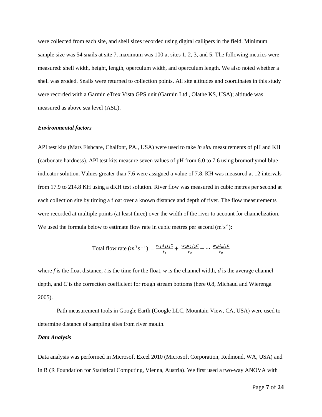were collected from each site, and shell sizes recorded using digital callipers in the field. Minimum sample size was 54 snails at site 7, maximum was 100 at sites 1, 2, 3, and 5. The following metrics were measured: shell width, height, length, operculum width, and operculum length. We also noted whether a shell was eroded. Snails were returned to collection points. All site altitudes and coordinates in this study were recorded with a Garmin eTrex Vista GPS unit (Garmin Ltd., Olathe KS, USA); altitude was measured as above sea level (ASL).

#### *Environmental factors*

API test kits (Mars Fishcare, Chalfont, PA., USA) were used to take *in situ* measurements of pH and KH (carbonate hardness). API test kits measure seven values of pH from 6.0 to 7.6 using bromothymol blue indicator solution. Values greater than 7.6 were assigned a value of 7.8. KH was measured at 12 intervals from 17.9 to 214.8 KH using a dKH test solution. River flow was measured in cubic metres per second at each collection site by timing a float over a known distance and depth of river. The flow measurements were recorded at multiple points (at least three) over the width of the river to account for channelization. We used the formula below to estimate flow rate in cubic metres per second  $(m<sup>3</sup>s<sup>-1</sup>)$ :

Total flow rate 
$$
(m^3 s^{-1}) = \frac{w_1 d_1 f_1 c}{t_1} + \frac{w_2 d_2 f_2 c}{t_2} + \dots + \frac{w_2 d_2 f_2 c}{t_2}
$$

where  $f$  is the float distance,  $t$  is the time for the float,  $w$  is the channel width,  $d$  is the average channel depth, and *C* is the correction coefficient for rough stream bottoms (here 0.8, Michaud and Wierenga 2005).

Path measurement tools in Google Earth (Google LLC, Mountain View, CA, USA) were used to determine distance of sampling sites from river mouth.

#### *Data Analysis*

Data analysis was performed in Microsoft Excel 2010 (Microsoft Corporation, Redmond, WA, USA) and in R (R Foundation for Statistical Computing, Vienna, Austria). We first used a two-way ANOVA with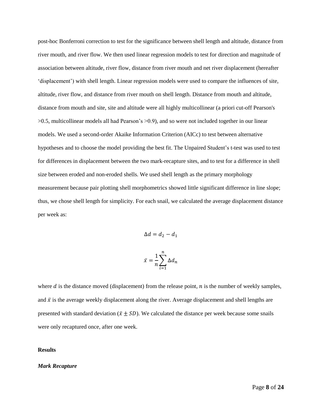post-hoc Bonferroni correction to test for the significance between shell length and altitude, distance from river mouth, and river flow. We then used linear regression models to test for direction and magnitude of association between altitude, river flow, distance from river mouth and net river displacement (hereafter 'displacement') with shell length. Linear regression models were used to compare the influences of site, altitude, river flow, and distance from river mouth on shell length. Distance from mouth and altitude, distance from mouth and site, site and altitude were all highly multicollinear (a priori cut-off Pearson's >0.5, multicollinear models all had Pearson's >0.9), and so were not included together in our linear models. We used a second-order Akaike Information Criterion (AICc) to test between alternative hypotheses and to choose the model providing the best fit. The Unpaired Student's t-test was used to test for differences in displacement between the two mark-recapture sites, and to test for a difference in shell size between eroded and non-eroded shells. We used shell length as the primary morphology measurement because pair plotting shell morphometrics showed little significant difference in line slope; thus, we chose shell length for simplicity. For each snail, we calculated the average displacement distance per week as:

$$
\Delta d = d_2 - d_1
$$

$$
\bar{x} = \frac{1}{n} \sum_{i=1}^{n} \Delta d_n
$$

where  $d$  is the distance moved (displacement) from the release point,  $n$  is the number of weekly samples, and  $\bar{x}$  is the average weekly displacement along the river. Average displacement and shell lengths are presented with standard deviation ( $\bar{x} \pm SD$ ). We calculated the distance per week because some snails were only recaptured once, after one week.

#### **Results**

#### *Mark Recapture*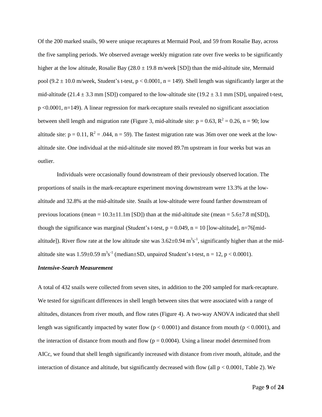Of the 200 marked snails, 90 were unique recaptures at Mermaid Pool, and 59 from Rosalie Bay, across the five sampling periods. We observed average weekly migration rate over five weeks to be significantly higher at the low altitude, Rosalie Bay  $(28.0 \pm 19.8 \text{ m/week}$  [SD]) than the mid-altitude site, Mermaid pool (9.2  $\pm$  10.0 m/week, Student's t-test, p < 0.0001, n = 149). Shell length was significantly larger at the mid-altitude (21.4  $\pm$  3.3 mm [SD]) compared to the low-altitude site (19.2  $\pm$  3.1 mm [SD], unpaired t-test, p <0.0001, n=149). A linear regression for mark-recapture snails revealed no significant association between shell length and migration rate (Figure 3, mid-altitude site:  $p = 0.63$ ,  $R^2 = 0.26$ ,  $n = 90$ ; low altitude site:  $p = 0.11$ ,  $R^2 = .044$ ,  $n = 59$ ). The fastest migration rate was 36m over one week at the lowaltitude site. One individual at the mid-altitude site moved 89.7m upstream in four weeks but was an outlier.

Individuals were occasionally found downstream of their previously observed location. The proportions of snails in the mark-recapture experiment moving downstream were 13.3% at the lowaltitude and 32.8% at the mid-altitude site. Snails at low-altitude were found farther downstream of previous locations (mean =  $10.3 \pm 11.1$  m [SD]) than at the mid-altitude site (mean =  $5.6 \pm 7.8$  m[SD]), though the significance was marginal (Student's t-test,  $p = 0.049$ ,  $n = 10$  [low-altitude], n=76[midaltitude]). River flow rate at the low altitude site was  $3.62 \pm 0.94$  m<sup>3</sup>s<sup>-1</sup>, significantly higher than at the midaltitude site was  $1.59 \pm 0.59$  m<sup>3</sup>s<sup>-1</sup> (median $\pm$ SD, unpaired Student's t-test, n = 12, p < 0.0001).

#### *Intensive-Search Measurement*

A total of 432 snails were collected from seven sites, in addition to the 200 sampled for mark-recapture. We tested for significant differences in shell length between sites that were associated with a range of altitudes, distances from river mouth, and flow rates (Figure 4). A two-way ANOVA indicated that shell length was significantly impacted by water flow ( $p < 0.0001$ ) and distance from mouth ( $p < 0.0001$ ), and the interaction of distance from mouth and flow  $(p = 0.0004)$ . Using a linear model determined from AICc, we found that shell length significantly increased with distance from river mouth, altitude, and the interaction of distance and altitude, but significantly decreased with flow (all  $p < 0.0001$ , Table 2). We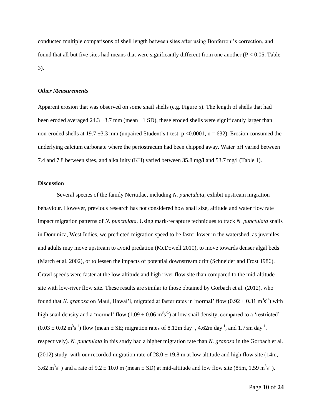conducted multiple comparisons of shell length between sites after using Bonferroni's correction, and found that all but five sites had means that were significantly different from one another ( $P < 0.05$ , Table 3).

#### *Other Measurements*

Apparent erosion that was observed on some snail shells (e.g. Figure 5). The length of shells that had been eroded averaged 24.3  $\pm$ 3.7 mm (mean  $\pm$ 1 SD), these eroded shells were significantly larger than non-eroded shells at 19.7  $\pm$ 3.3 mm (unpaired Student's t-test, p <0.0001, n = 632). Erosion consumed the underlying calcium carbonate where the periostracum had been chipped away. Water pH varied between 7.4 and 7.8 between sites, and alkalinity (KH) varied between 35.8 mg/l and 53.7 mg/l (Table 1).

#### **Discussion**

Several species of the family Neritidae*,* including *N. punctulata*, exhibit upstream migration behaviour. However, previous research has not considered how snail size, altitude and water flow rate impact migration patterns of *N. punctulata*. Using mark-recapture techniques to track *N. punctulata* snails in Dominica, West Indies, we predicted migration speed to be faster lower in the watershed, as juveniles and adults may move upstream to avoid predation (McDowell 2010), to move towards denser algal beds (March et al. 2002), or to lessen the impacts of potential downstream drift (Schneider and Frost 1986). Crawl speeds were faster at the low-altitude and high river flow site than compared to the mid-altitude site with low-river flow site. These results are similar to those obtained by Gorbach et al. (2012), who found that *N. granosa* on Maui, Hawai'i, migrated at faster rates in 'normal' flow  $(0.92 \pm 0.31 \text{ m}^3 \text{s}^{-1})$  with high snail density and a 'normal' flow  $(1.09 \pm 0.06 \text{ m}^3 \text{s}^{-1})$  at low snail density, compared to a 'restricted'  $(0.03 \pm 0.02 \text{ m}^3 \text{s}^{-1})$  flow (mean  $\pm$  SE; migration rates of 8.12m day<sup>-1</sup>, 4.62m day<sup>-1</sup>, and 1.75m day<sup>-1</sup>, respectively). *N. punctulata* in this study had a higher migration rate than *N. granosa* in the Gorbach et al. (2012) study, with our recorded migration rate of  $28.0 \pm 19.8$  m at low altitude and high flow site (14m, 3.62 m<sup>3</sup>s<sup>-1</sup>) and a rate of 9.2  $\pm$  10.0 m (mean  $\pm$  SD) at mid-altitude and low flow site (85m, 1.59 m<sup>3</sup>s<sup>-1</sup>).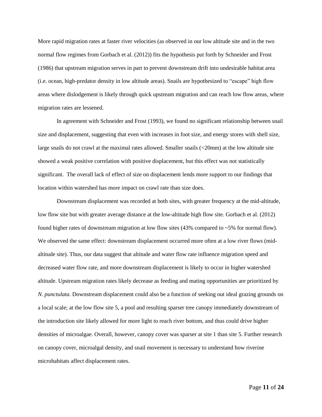More rapid migration rates at faster river velocities (as observed in our low altitude site and in the two normal flow regimes from Gorbach et al*.* (2012)) fits the hypothesis put forth by Schneider and Frost (1986) that upstream migration serves in part to prevent downstream drift into undesirable habitat area (i.e. ocean, high-predator density in low altitude areas). Snails are hypothesized to "escape" high flow areas where dislodgement is likely through quick upstream migration and can reach low flow areas, where migration rates are lessened.

In agreement with Schneider and Frost (1993), we found no significant relationship between snail size and displacement, suggesting that even with increases in foot size, and energy stores with shell size, large snails do not crawl at the maximal rates allowed. Smaller snails (<20mm) at the low altitude site showed a weak positive correlation with positive displacement, but this effect was not statistically significant. The overall lack of effect of size on displacement lends more support to our findings that location within watershed has more impact on crawl rate than size does.

Downstream displacement was recorded at both sites, with greater frequency at the mid-altitude, low flow site but with greater average distance at the low-altitude high flow site. Gorbach et al. (2012) found higher rates of downstream migration at low flow sites (43% compared to ~5% for normal flow). We observed the same effect: downstream displacement occurred more often at a low river flows (midaltitude site). Thus, our data suggest that altitude and water flow rate influence migration speed and decreased water flow rate, and more downstream displacement is likely to occur in higher watershed altitude. Upstream migration rates likely decrease as feeding and mating opportunities are prioritized by *N. punctulata*. Downstream displacement could also be a function of seeking out ideal grazing grounds on a local scale; at the low flow site 5, a pool and resulting sparser tree canopy immediately downstream of the introduction site likely allowed for more light to reach river bottom, and thus could drive higher densities of microalgae. Overall, however, canopy cover was sparser at site 1 than site 5. Further research on canopy cover, microalgal density, and snail movement is necessary to understand how riverine microhabitats affect displacement rates.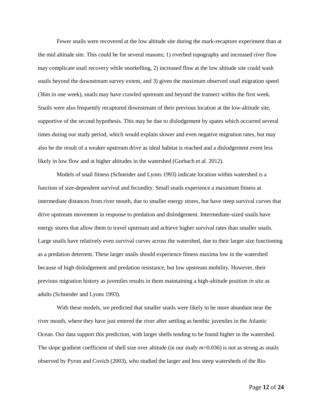Fewer snails were recovered at the low altitude site during the mark-recapture experiment than at the mid altitude site. This could be for several reasons; 1) riverbed topography and increased river flow may complicate snail recovery while snorkelling, 2) increased flow at the low altitude site could wash snails beyond the downstream survey extent, and 3) given the maximum observed snail migration speed (36m in one week), snails may have crawled upstream and beyond the transect within the first week. Snails were also frequently recaptured downstream of their previous location at the low-altitude site, supportive of the second hypothesis. This may be due to dislodgement by spates which occurred several times during our study period, which would explain slower and even negative migration rates, but may also be the result of a weaker upstream drive as ideal habitat is reached and a dislodgement event less likely in low flow and at higher altitudes in the watershed (Gorbach et al. 2012).

Models of snail fitness (Schneider and Lyons 1993) indicate location within watershed is a function of size-dependent survival and fecundity. Small snails experience a maximum fitness at intermediate distances from river mouth, due to smaller energy stores, but have steep survival curves that drive upstream movement in response to predation and dislodgement. Intermediate-sized snails have energy stores that allow them to travel upstream and achieve higher survival rates than smaller snails. Large snails have relatively even survival curves across the watershed, due to their larger size functioning as a predation deterrent. These larger snails should experience fitness maxima low in the watershed because of high dislodgement and predation resistance, but low upstream mobility. However, their previous migration history as juveniles results in them maintaining a high-altitude position *in situ* as adults (Schneider and Lyons 1993).

With these models, we predicted that smaller snails were likely to be more abundant near the river mouth, where they have just entered the river after settling as benthic juveniles in the Atlantic Ocean. Our data support this prediction, with larger shells tending to be found higher in the watershed. The slope gradient coefficient of shell size over altitude (in our study  $m=0.036$ ) is not as strong as snails observed by Pyron and Covich (2003), who studied the larger and less steep watersheds of the Rio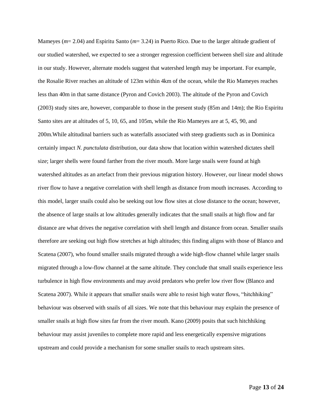Mameyes (*m*= 2.04) and Espiritu Santo (*m*= 3.24) in Puerto Rico. Due to the larger altitude gradient of our studied watershed, we expected to see a stronger regression coefficient between shell size and altitude in our study. However, alternate models suggest that watershed length may be important. For example, the Rosalie River reaches an altitude of 123m within 4km of the ocean, while the Rio Mameyes reaches less than 40m in that same distance (Pyron and Covich 2003). The altitude of the Pyron and Covich (2003) study sites are, however, comparable to those in the present study (85m and 14m); the Rio Espiritu Santo sites are at altitudes of 5, 10, 65, and 105m, while the Rio Mameyes are at 5, 45, 90, and 200m.While altitudinal barriers such as waterfalls associated with steep gradients such as in Dominica certainly impact *N. punctulata* distribution, our data show that location within watershed dictates shell size; larger shells were found farther from the river mouth. More large snails were found at high watershed altitudes as an artefact from their previous migration history. However, our linear model shows river flow to have a negative correlation with shell length as distance from mouth increases. According to this model, larger snails could also be seeking out low flow sites at close distance to the ocean; however, the absence of large snails at low altitudes generally indicates that the small snails at high flow and far distance are what drives the negative correlation with shell length and distance from ocean. Smaller snails therefore are seeking out high flow stretches at high altitudes; this finding aligns with those of Blanco and Scatena (2007), who found smaller snails migrated through a wide high-flow channel while larger snails migrated through a low-flow channel at the same altitude. They conclude that small snails experience less turbulence in high flow environments and may avoid predators who prefer low river flow (Blanco and Scatena 2007). While it appears that smaller snails were able to resist high water flows, "hitchhiking" behaviour was observed with snails of all sizes. We note that this behaviour may explain the presence of smaller snails at high flow sites far from the river mouth. Kano (2009) posits that such hitchhiking behaviour may assist juveniles to complete more rapid and less energetically expensive migrations upstream and could provide a mechanism for some smaller snails to reach upstream sites.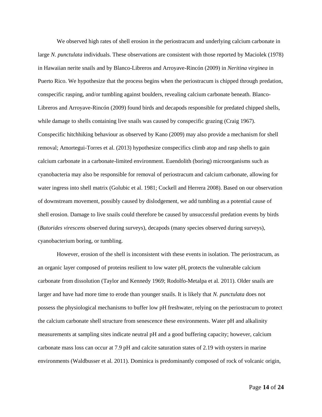We observed high rates of shell erosion in the periostracum and underlying calcium carbonate in large *N. punctulata* individuals. These observations are consistent with those reported by Maciolek (1978) in Hawaiian nerite snails and by Blanco-Libreros and Arroyave-Rincón (2009) in *Neritina virginea* in Puerto Rico. We hypothesize that the process begins when the periostracum is chipped through predation, conspecific rasping, and/or tumbling against boulders, revealing calcium carbonate beneath. Blanco-Libreros and Arroyave-Rincón (2009) found birds and decapods responsible for predated chipped shells, while damage to shells containing live snails was caused by conspecific grazing (Craig 1967). Conspecific hitchhiking behaviour as observed by Kano (2009) may also provide a mechanism for shell removal; Amortegui-Torres et al. (2013) hypothesize conspecifics climb atop and rasp shells to gain calcium carbonate in a carbonate-limited environment. Euendolith (boring) microorganisms such as cyanobacteria may also be responsible for removal of periostracum and calcium carbonate, allowing for water ingress into shell matrix (Golubic et al. 1981; Cockell and Herrera 2008). Based on our observation of downstream movement, possibly caused by dislodgement, we add tumbling as a potential cause of shell erosion. Damage to live snails could therefore be caused by unsuccessful predation events by birds (*Butorides virescens* observed during surveys), decapods (many species observed during surveys), cyanobacterium boring, or tumbling.

However, erosion of the shell is inconsistent with these events in isolation. The periostracum, as an organic layer composed of proteins resilient to low water pH, protects the vulnerable calcium carbonate from dissolution (Taylor and Kennedy 1969; Rodolfo-Metalpa et al*.* 2011). Older snails are larger and have had more time to erode than younger snails. It is likely that *N. punctulata* does not possess the physiological mechanisms to buffer low pH freshwater, relying on the periostracum to protect the calcium carbonate shell structure from senescence these environments. Water pH and alkalinity measurements at sampling sites indicate neutral pH and a good buffering capacity; however, calcium carbonate mass loss can occur at 7.9 pH and calcite saturation states of 2.19 with oysters in marine environments (Waldbusser et al*.* 2011). Dominica is predominantly composed of rock of volcanic origin,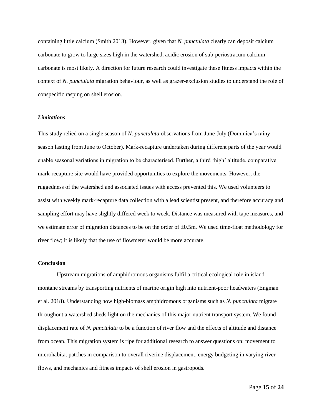containing little calcium (Smith 2013). However, given that *N. punctulata* clearly can deposit calcium carbonate to grow to large sizes high in the watershed, acidic erosion of sub-periostracum calcium carbonate is most likely. A direction for future research could investigate these fitness impacts within the context of *N. punctulata* migration behaviour, as well as grazer-exclusion studies to understand the role of conspecific rasping on shell erosion.

#### *Limitations*

This study relied on a single season of *N. punctulata* observations from June-July (Dominica's rainy season lasting from June to October). Mark-recapture undertaken during different parts of the year would enable seasonal variations in migration to be characterised. Further, a third 'high' altitude, comparative mark-recapture site would have provided opportunities to explore the movements. However, the ruggedness of the watershed and associated issues with access prevented this. We used volunteers to assist with weekly mark-recapture data collection with a lead scientist present, and therefore accuracy and sampling effort may have slightly differed week to week. Distance was measured with tape measures, and we estimate error of migration distances to be on the order of  $\pm 0.5$ m. We used time-float methodology for river flow; it is likely that the use of flowmeter would be more accurate.

#### **Conclusion**

Upstream migrations of amphidromous organisms fulfil a critical ecological role in island montane streams by transporting nutrients of marine origin high into nutrient-poor headwaters (Engman et al. 2018). Understanding how high-biomass amphidromous organisms such as *N. punctulata* migrate throughout a watershed sheds light on the mechanics of this major nutrient transport system. We found displacement rate of *N. punctulata* to be a function of river flow and the effects of altitude and distance from ocean. This migration system is ripe for additional research to answer questions on: movement to microhabitat patches in comparison to overall riverine displacement, energy budgeting in varying river flows, and mechanics and fitness impacts of shell erosion in gastropods.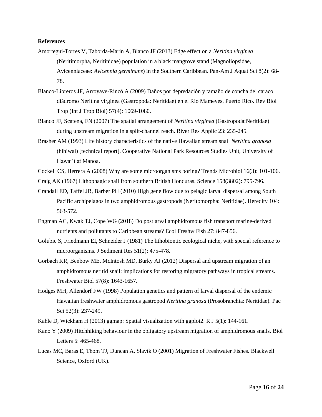#### **References**

- Amortegui-Torres V, Taborda-Marin A, Blanco JF (2013) Edge effect on a *Neritina virginea*  (Neritimorpha, Neritinidae) population in a black mangrove stand (Magnoliopsidae, Avicenniaceae: *Avicennia germinans*) in the Southern Caribbean. Pan-Am J Aquat Sci 8(2): 68- 78.
- Blanco-Libreros JF, Arroyave-Rincó A (2009) Daños por depredación y tamaño de concha del caracol diádromo Neritina virginea (Gastropoda: Neritidae) en el Río Mameyes, Puerto Rico. Rev Biol Trop (Int J Trop Biol) 57(4): 1069-1080.
- Blanco JF, Scatena, FN (2007) The spatial arrangement of *Neritina virginea* (Gastropoda:Neritidae) during upstream migration in a split-channel reach. River Res Applic 23: 235-245.
- Brasher AM (1993) Life history characteristics of the native Hawaiian stream snail *Neritina granosa* (hihiwai) [technical report]. Cooperative National Park Resources Studies Unit, University of Hawai'i at Manoa.

Cockell CS, Herrera A (2008) Why are some microorganisms boring? Trends Microbiol 16(3): 101-106.

- Craig AK (1967) Lithophagic snail from southern British Honduras. Science 158(3802): 795-796.
- Crandall ED, Taffel JR, Barber PH (2010) High gene flow due to pelagic larval dispersal among South Pacific archipelagos in two amphidromous gastropods (Neritomorpha: Neritidae). Heredity 104: 563-572.
- Engman AC, Kwak TJ, Cope WG (2018) Do postlarval amphidromous fish transport marine-derived nutrients and pollutants to Caribbean streams? Ecol Freshw Fish 27: 847-856.
- Golubic S, Friedmann EI, Schneider J (1981) The lithobiontic ecological niche, with special reference to microorganisms. J Sediment Res 51(2): 475-478.
- Gorbach KR, Benbow ME, McIntosh MD, Burky AJ (2012) Dispersal and upstream migration of an amphidromous neritid snail: implications for restoring migratory pathways in tropical streams. Freshwater Biol 57(8): 1643-1657.
- Hodges MH, Allendorf FW (1998) Population genetics and pattern of larval dispersal of the endemic Hawaiian freshwater amphidromous gastropod *Neritina granosa* (Prosobranchia: Neritidae). Pac Sci 52(3): 237-249.
- Kahle D, Wickham H (2013) ggmap: Spatial visualization with ggplot2. R J 5(1): 144-161.
- Kano Y (2009) Hitchhiking behaviour in the obligatory upstream migration of amphidromous snails. Biol Letters 5: 465-468.
- Lucas MC, Baras E, Thom TJ, Duncan A, Slavík O (2001) Migration of Freshwater Fishes*.* Blackwell Science, Oxford (UK).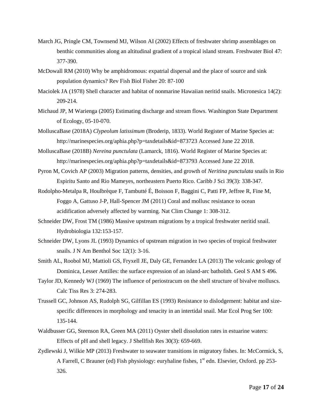- March JG, Pringle CM, Townsend MJ, Wilson AI (2002) Effects of freshwater shrimp assemblages on benthic communities along an altitudinal gradient of a tropical island stream. Freshwater Biol 47: 377-390.
- McDowall RM (2010) Why be amphidromous: expatrial dispersal and the place of source and sink population dynamics? Rev Fish Biol Fisher 20: 87-100
- Maciolek JA (1978) Shell character and habitat of nonmarine Hawaiian neritid snails. Micronesica 14(2): 209-214.
- Michaud JP, M Warienga (2005) Estimating discharge and stream flows. Washington State Department of Ecology, 05-10-070.
- MolluscaBase (2018A) *Clypeolum latissimum* (Broderip, 1833). World Register of Marine Species at: http://marinespecies.org/aphia.php?p=taxdetails&id=873723 Accessed June 22 2018.
- MolluscaBase (2018B) *Nereina punctulata* (Lamarck, 1816). World Register of Marine Species at: http://marinespecies.org/aphia.php?p=taxdetails&id=873793 Accessed June 22 2018.
- Pyron M, Covich AP (2003) Migration patterns, densities, and growth of *Neritina punctulata* snails in Rio Espiritu Santo and Rio Mameyes, northeastern Puerto Rico. Caribb J Sci 39(3): 338-347.
- Rodolpho-Metalpa R, Houlbrèque F, Tambutté É, Boisson F, Baggini C, Patti FP, Jeffree R, Fine M, Foggo A, Gattuso J-P, Hall-Spencer JM (2011) Coral and mollusc resistance to ocean acidification adversely affected by warming. Nat Clim Change 1: 308-312.
- Schneider DW, Frost TM (1986) Massive upstream migrations by a tropical freshwater neritid snail. Hydrobiologia 132:153-157.
- Schneider DW, Lyons JL (1993) Dynamics of upstream migration in two species of tropical freshwater snails. J N Am Benthol Soc 12(1): 3-16.
- Smith AL, Roobol MJ, Mattioli GS, Fryxell JE, Daly GE, Fernandez LA (2013) The volcanic geology of Dominica, Lesser Antilles: the surface expression of an island-arc batholith. Geol S AM S 496.
- Taylor JD, Kennedy WJ (1969) The influence of periostracum on the shell structure of bivalve molluscs. Calc Tiss Res 3: 274-283.
- Trussell GC, Johnson AS, Rudolph SG, Gilfillan ES (1993) Resistance to dislodgement: habitat and sizespecific differences in morphology and tenacity in an intertidal snail. Mar Ecol Prog Ser 100: 135-144.
- Waldbusser GG, Steenson RA, Green MA (2011) Oyster shell dissolution rates in estuarine waters: Effects of pH and shell legacy. J Shellfish Res 30(3): 659-669.
- Zydlewski J, Wilkie MP (2013) Freshwater to seawater transitions in migratory fishes. In: McCormick, S, A Farrell, C Brauner (ed) Fish physiology: euryhaline fishes,  $1<sup>st</sup>$  edn. Elsevier, Oxford. pp 253-326.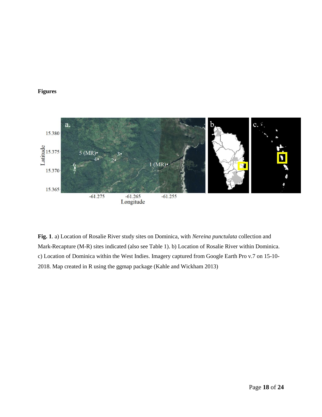#### **Figures**



**Fig. 1**. a) Location of Rosalie River study sites on Dominica, with *Nereina punctulata* collection and Mark-Recapture (M-R) sites indicated (also see Table 1). b) Location of Rosalie River within Dominica. c) Location of Dominica within the West Indies. Imagery captured from Google Earth Pro v.7 on 15-10- 2018. Map created in R using the ggmap package (Kahle and Wickham 2013)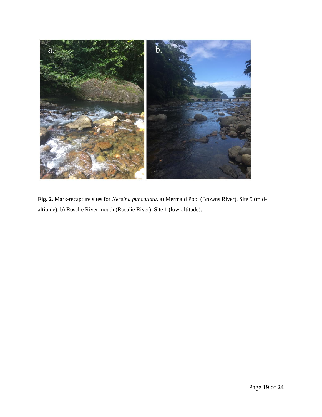

**Fig. 2.** Mark-recapture sites for *Nereina punctulata*. a) Mermaid Pool (Browns River), Site 5 (midaltitude), b) Rosalie River mouth (Rosalie River), Site 1 (low-altitude).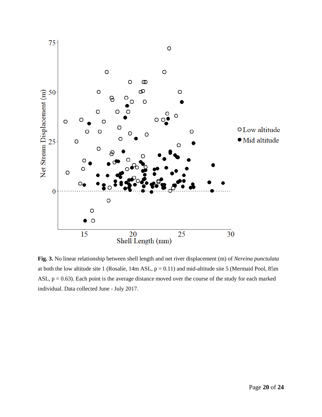

**Fig. 3.** No linear relationship between shell length and net river displacement (m) of *Nereina punctulata*  at both the low altitude site 1 (Rosalie, 14m ASL,  $p = 0.11$ ) and mid-altitude site 5 (Mermaid Pool, 85m ASL,  $p = 0.63$ ). Each point is the average distance moved over the course of the study for each marked individual. Data collected June - July 2017.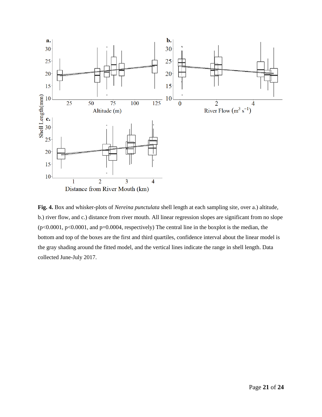

**Fig. 4.** Box and whisker-plots of *Nereina punctulata* shell length at each sampling site, over a.) altitude, b.) river flow, and c.) distance from river mouth. All linear regression slopes are significant from no slope  $(p<0.0001, p<0.0001,$  and  $p=0.0004$ , respectively) The central line in the boxplot is the median, the bottom and top of the boxes are the first and third quartiles, confidence interval about the linear model is the gray shading around the fitted model, and the vertical lines indicate the range in shell length. Data collected June-July 2017.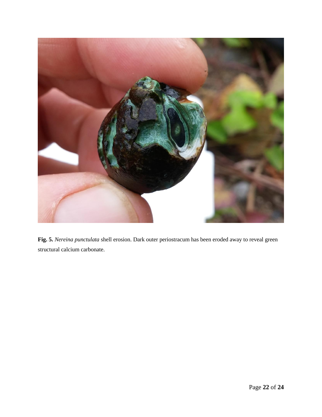

**Fig. 5.** *Nereina punctulata* shell erosion. Dark outer periostracum has been eroded away to reveal green structural calcium carbonate.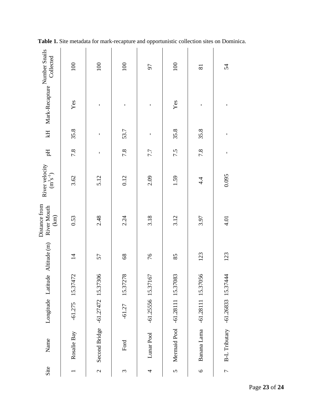| Collected                                     | 100            | 100                              | 100            | 56                   | 100                  | $\overline{81}$      | 54                               |
|-----------------------------------------------|----------------|----------------------------------|----------------|----------------------|----------------------|----------------------|----------------------------------|
| KH Mark-Recapture $\sim$                      | Yes            | ı                                | ı              | ı                    | Yes                  | $\mathbf{I}$         | ı                                |
|                                               | 35.8           | $\mathbf{I}$                     | 53.7           | $\mathbf I$          | 35.8                 | 35.8                 | ı                                |
| Ę                                             | 7.8            | $\mathbf{I}$                     | 7.8            | 7.7                  | 7.5                  | 7.8                  | ı                                |
| River velocity<br>$(m^3s^{-1})$               | 3.62           | 5.12                             | 0.12           | 2.09                 | 1.59                 | 4.4                  | 0.095                            |
| Distance from<br>River Mouth<br>$\mbox{(km)}$ | 0.53           | 2.48                             | 2.24           | 3.18                 | 3.12                 | 3.97                 | 4.01                             |
| Longitude Latitude Altitude (m)               | $\overline{4}$ | 57                               | 8 <sup>9</sup> | 76                   | 85                   | 123                  | 123                              |
|                                               | 15.37472       |                                  | 15.37278       |                      |                      |                      |                                  |
|                                               | $-61.275$      |                                  | $-61.27$       | $-61.25556$ 15.37167 | $-61.28111$ 15.37083 | $-61.28111$ 15.37056 |                                  |
| Name                                          | Rosalie Bay    | Second Bridge -61.27472 15.37306 | Ford           | Lunar Pool           | Mermaid Pool         | Banana Lama          | B-L Tributary -61.26833 15.37444 |
| Site                                          |                | $\mathbf{C}$                     | 3              | 4                    | $\overline{5}$       | $\circ$              | $\overline{r}$                   |

**Table 1.** Site metadata for mark-recapture and opportunistic collection sites on Dominica.